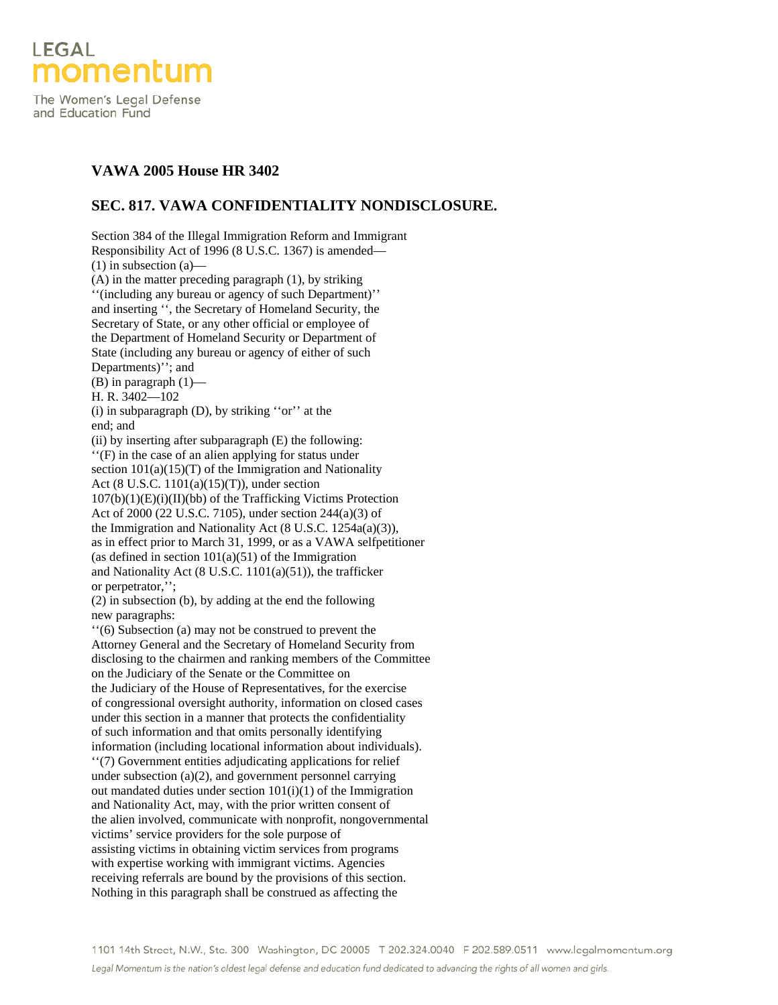

The Women's Legal Defense and Education Fund

## **VAWA 2005 House HR 3402**

## **SEC. 817. VAWA CONFIDENTIALITY NONDISCLOSURE.**

Section 384 of the Illegal Immigration Reform and Immigrant Responsibility Act of 1996 (8 U.S.C. 1367) is amended— (1) in subsection (a)— (A) in the matter preceding paragraph (1), by striking ''(including any bureau or agency of such Department)'' and inserting '', the Secretary of Homeland Security, the Secretary of State, or any other official or employee of the Department of Homeland Security or Department of State (including any bureau or agency of either of such Departments)"; and (B) in paragraph (1)— H. R. 3402—102 (i) in subparagraph (D), by striking ''or'' at the end; and (ii) by inserting after subparagraph (E) the following: ''(F) in the case of an alien applying for status under section  $101(a)(15)(T)$  of the Immigration and Nationality Act (8 U.S.C. 1101(a)(15)(T)), under section  $107(b)(1)(E)(i)(II)(bb)$  of the Trafficking Victims Protection Act of 2000 (22 U.S.C. 7105), under section 244(a)(3) of the Immigration and Nationality Act (8 U.S.C. 1254a(a)(3)), as in effect prior to March 31, 1999, or as a VAWA selfpetitioner (as defined in section  $101(a)(51)$  of the Immigration and Nationality Act (8 U.S.C. 1101(a)(51)), the trafficker or perpetrator,''; (2) in subsection (b), by adding at the end the following new paragraphs: ''(6) Subsection (a) may not be construed to prevent the Attorney General and the Secretary of Homeland Security from disclosing to the chairmen and ranking members of the Committee on the Judiciary of the Senate or the Committee on the Judiciary of the House of Representatives, for the exercise of congressional oversight authority, information on closed cases under this section in a manner that protects the confidentiality of such information and that omits personally identifying information (including locational information about individuals). ''(7) Government entities adjudicating applications for relief under subsection (a)(2), and government personnel carrying out mandated duties under section 101(i)(1) of the Immigration and Nationality Act, may, with the prior written consent of the alien involved, communicate with nonprofit, nongovernmental victims' service providers for the sole purpose of assisting victims in obtaining victim services from programs with expertise working with immigrant victims. Agencies receiving referrals are bound by the provisions of this section. Nothing in this paragraph shall be construed as affecting the